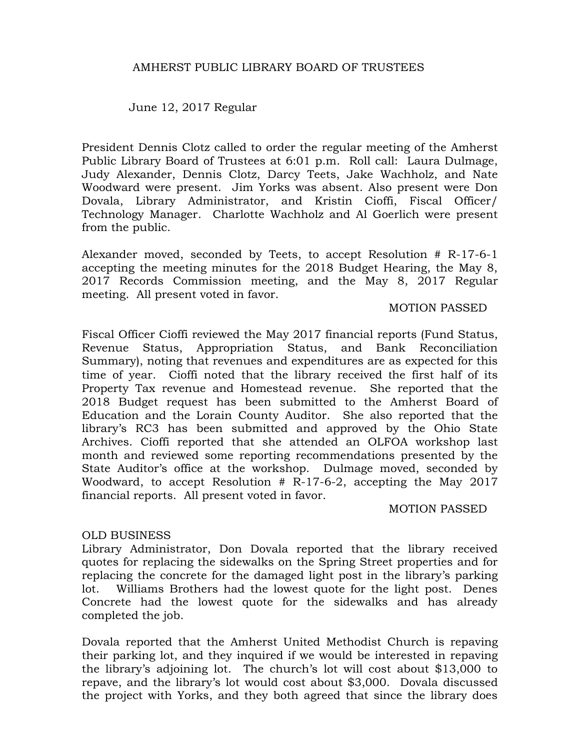## AMHERST PUBLIC LIBRARY BOARD OF TRUSTEES

June 12, 2017 Regular

President Dennis Clotz called to order the regular meeting of the Amherst Public Library Board of Trustees at 6:01 p.m. Roll call: Laura Dulmage, Judy Alexander, Dennis Clotz, Darcy Teets, Jake Wachholz, and Nate Woodward were present. Jim Yorks was absent. Also present were Don Dovala, Library Administrator, and Kristin Cioffi, Fiscal Officer/ Technology Manager. Charlotte Wachholz and Al Goerlich were present from the public.

Alexander moved, seconded by Teets, to accept Resolution # R-17-6-1 accepting the meeting minutes for the 2018 Budget Hearing, the May 8, 2017 Records Commission meeting, and the May 8, 2017 Regular meeting. All present voted in favor.

#### MOTION PASSED

Fiscal Officer Cioffi reviewed the May 2017 financial reports (Fund Status, Revenue Status, Appropriation Status, and Bank Reconciliation Summary), noting that revenues and expenditures are as expected for this time of year. Cioffi noted that the library received the first half of its Property Tax revenue and Homestead revenue. She reported that the 2018 Budget request has been submitted to the Amherst Board of Education and the Lorain County Auditor. She also reported that the library's RC3 has been submitted and approved by the Ohio State Archives. Cioffi reported that she attended an OLFOA workshop last month and reviewed some reporting recommendations presented by the State Auditor's office at the workshop. Dulmage moved, seconded by Woodward, to accept Resolution # R-17-6-2, accepting the May 2017 financial reports. All present voted in favor.

## MOTION PASSED

## OLD BUSINESS

Library Administrator, Don Dovala reported that the library received quotes for replacing the sidewalks on the Spring Street properties and for replacing the concrete for the damaged light post in the library's parking lot. Williams Brothers had the lowest quote for the light post. Denes Concrete had the lowest quote for the sidewalks and has already completed the job.

Dovala reported that the Amherst United Methodist Church is repaving their parking lot, and they inquired if we would be interested in repaving the library's adjoining lot. The church's lot will cost about \$13,000 to repave, and the library's lot would cost about \$3,000. Dovala discussed the project with Yorks, and they both agreed that since the library does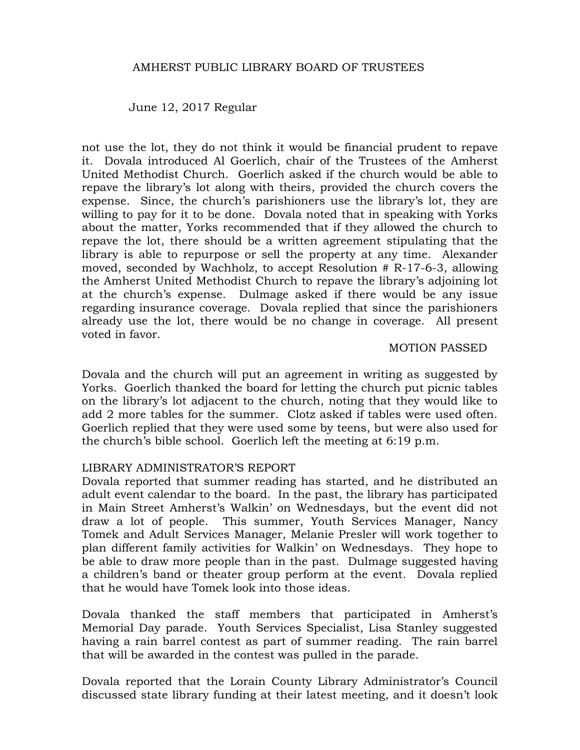#### AMHERST PUBLIC LIBRARY BOARD OF TRUSTEES

June 12, 2017 Regular

not use the lot, they do not think it would be financial prudent to repave it. Dovala introduced Al Goerlich, chair of the Trustees of the Amherst United Methodist Church. Goerlich asked if the church would be able to repave the library's lot along with theirs, provided the church covers the expense. Since, the church's parishioners use the library's lot, they are willing to pay for it to be done. Dovala noted that in speaking with Yorks about the matter, Yorks recommended that if they allowed the church to repave the lot, there should be a written agreement stipulating that the library is able to repurpose or sell the property at any time. Alexander moved, seconded by Wachholz, to accept Resolution # R-17-6-3, allowing the Amherst United Methodist Church to repave the library's adjoining lot at the church's expense. Dulmage asked if there would be any issue regarding insurance coverage. Dovala replied that since the parishioners already use the lot, there would be no change in coverage. All present voted in favor.

#### MOTION PASSED

Dovala and the church will put an agreement in writing as suggested by Yorks. Goerlich thanked the board for letting the church put picnic tables on the library's lot adjacent to the church, noting that they would like to add 2 more tables for the summer. Clotz asked if tables were used often. Goerlich replied that they were used some by teens, but were also used for the church's bible school. Goerlich left the meeting at 6:19 p.m.

#### LIBRARY ADMINISTRATOR'S REPORT

Dovala reported that summer reading has started, and he distributed an adult event calendar to the board. In the past, the library has participated in Main Street Amherst's Walkin' on Wednesdays, but the event did not draw a lot of people. This summer, Youth Services Manager, Nancy Tomek and Adult Services Manager, Melanie Presler will work together to plan different family activities for Walkin' on Wednesdays. They hope to be able to draw more people than in the past. Dulmage suggested having a children's band or theater group perform at the event. Dovala replied that he would have Tomek look into those ideas.

Dovala thanked the staff members that participated in Amherst's Memorial Day parade. Youth Services Specialist, Lisa Stanley suggested having a rain barrel contest as part of summer reading. The rain barrel that will be awarded in the contest was pulled in the parade.

Dovala reported that the Lorain County Library Administrator's Council discussed state library funding at their latest meeting, and it doesn't look